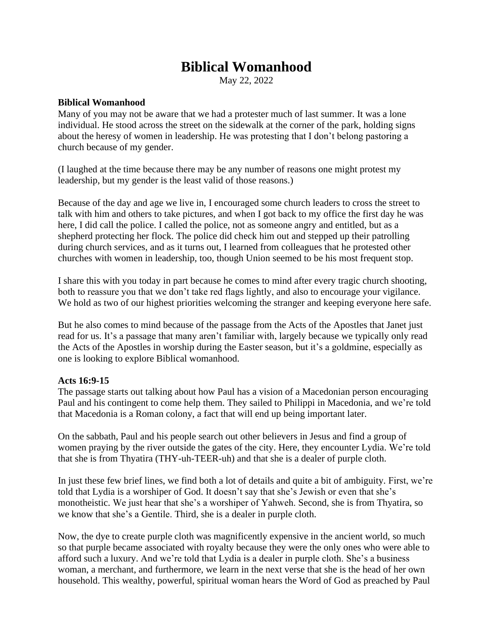# **Biblical Womanhood**

May 22, 2022

## **Biblical Womanhood**

Many of you may not be aware that we had a protester much of last summer. It was a lone individual. He stood across the street on the sidewalk at the corner of the park, holding signs about the heresy of women in leadership. He was protesting that I don't belong pastoring a church because of my gender.

(I laughed at the time because there may be any number of reasons one might protest my leadership, but my gender is the least valid of those reasons.)

Because of the day and age we live in, I encouraged some church leaders to cross the street to talk with him and others to take pictures, and when I got back to my office the first day he was here, I did call the police. I called the police, not as someone angry and entitled, but as a shepherd protecting her flock. The police did check him out and stepped up their patrolling during church services, and as it turns out, I learned from colleagues that he protested other churches with women in leadership, too, though Union seemed to be his most frequent stop.

I share this with you today in part because he comes to mind after every tragic church shooting, both to reassure you that we don't take red flags lightly, and also to encourage your vigilance. We hold as two of our highest priorities welcoming the stranger and keeping everyone here safe.

But he also comes to mind because of the passage from the Acts of the Apostles that Janet just read for us. It's a passage that many aren't familiar with, largely because we typically only read the Acts of the Apostles in worship during the Easter season, but it's a goldmine, especially as one is looking to explore Biblical womanhood.

### **Acts 16:9-15**

The passage starts out talking about how Paul has a vision of a Macedonian person encouraging Paul and his contingent to come help them. They sailed to Philippi in Macedonia, and we're told that Macedonia is a Roman colony, a fact that will end up being important later.

On the sabbath, Paul and his people search out other believers in Jesus and find a group of women praying by the river outside the gates of the city. Here, they encounter Lydia. We're told that she is from Thyatira (THY-uh-TEER-uh) and that she is a dealer of purple cloth.

In just these few brief lines, we find both a lot of details and quite a bit of ambiguity. First, we're told that Lydia is a worshiper of God. It doesn't say that she's Jewish or even that she's monotheistic. We just hear that she's a worshiper of Yahweh. Second, she is from Thyatira, so we know that she's a Gentile. Third, she is a dealer in purple cloth.

Now, the dye to create purple cloth was magnificently expensive in the ancient world, so much so that purple became associated with royalty because they were the only ones who were able to afford such a luxury. And we're told that Lydia is a dealer in purple cloth. She's a business woman, a merchant, and furthermore, we learn in the next verse that she is the head of her own household. This wealthy, powerful, spiritual woman hears the Word of God as preached by Paul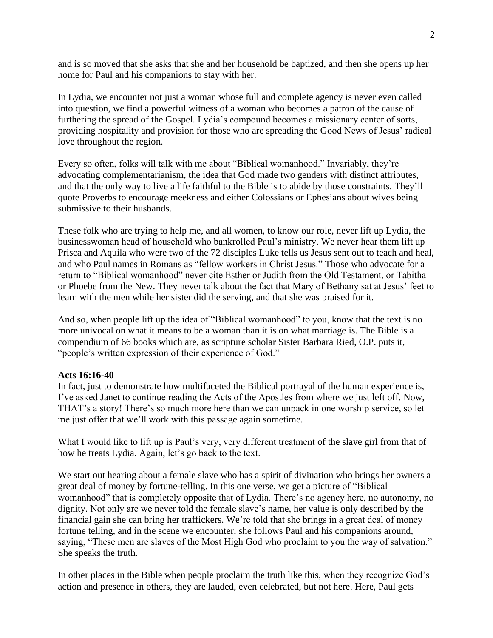and is so moved that she asks that she and her household be baptized, and then she opens up her home for Paul and his companions to stay with her.

In Lydia, we encounter not just a woman whose full and complete agency is never even called into question, we find a powerful witness of a woman who becomes a patron of the cause of furthering the spread of the Gospel. Lydia's compound becomes a missionary center of sorts, providing hospitality and provision for those who are spreading the Good News of Jesus' radical love throughout the region.

Every so often, folks will talk with me about "Biblical womanhood." Invariably, they're advocating complementarianism, the idea that God made two genders with distinct attributes, and that the only way to live a life faithful to the Bible is to abide by those constraints. They'll quote Proverbs to encourage meekness and either Colossians or Ephesians about wives being submissive to their husbands.

These folk who are trying to help me, and all women, to know our role, never lift up Lydia, the businesswoman head of household who bankrolled Paul's ministry. We never hear them lift up Prisca and Aquila who were two of the 72 disciples Luke tells us Jesus sent out to teach and heal, and who Paul names in Romans as "fellow workers in Christ Jesus." Those who advocate for a return to "Biblical womanhood" never cite Esther or Judith from the Old Testament, or Tabitha or Phoebe from the New. They never talk about the fact that Mary of Bethany sat at Jesus' feet to learn with the men while her sister did the serving, and that she was praised for it.

And so, when people lift up the idea of "Biblical womanhood" to you, know that the text is no more univocal on what it means to be a woman than it is on what marriage is. The Bible is a compendium of 66 books which are, as scripture scholar Sister Barbara Ried, O.P. puts it, "people's written expression of their experience of God."

#### **Acts 16:16-40**

In fact, just to demonstrate how multifaceted the Biblical portrayal of the human experience is, I've asked Janet to continue reading the Acts of the Apostles from where we just left off. Now, THAT's a story! There's so much more here than we can unpack in one worship service, so let me just offer that we'll work with this passage again sometime.

What I would like to lift up is Paul's very, very different treatment of the slave girl from that of how he treats Lydia. Again, let's go back to the text.

We start out hearing about a female slave who has a spirit of divination who brings her owners a great deal of money by fortune-telling. In this one verse, we get a picture of "Biblical womanhood" that is completely opposite that of Lydia. There's no agency here, no autonomy, no dignity. Not only are we never told the female slave's name, her value is only described by the financial gain she can bring her traffickers. We're told that she brings in a great deal of money fortune telling, and in the scene we encounter, she follows Paul and his companions around, saying, "These men are slaves of the Most High God who proclaim to you the way of salvation." She speaks the truth.

In other places in the Bible when people proclaim the truth like this, when they recognize God's action and presence in others, they are lauded, even celebrated, but not here. Here, Paul gets